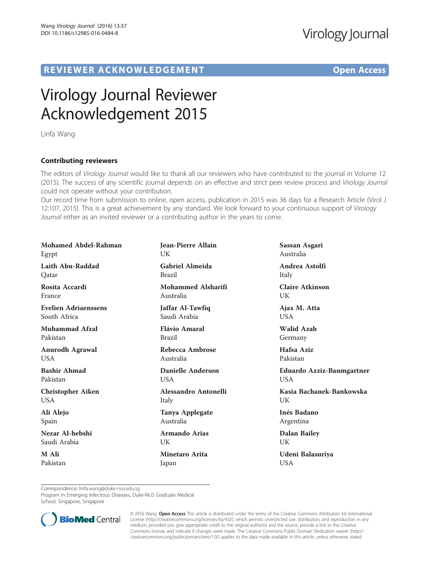## R EVI EW E R ACKNOW L EDG EM EN T Open Access

# Virology Journal Reviewer Acknowledgement 2015

Linfa Wang

### Contributing reviewers

The editors of Virology Journal would like to thank all our reviewers who have contributed to the journal in Volume 12<br>(2015). The success of any scientific journal depends on an effective and strict peer review process an (2015). The success of any scientific journal depends on an effective and strict peer review process and Virology Journal could not operate without your contribution.

Our record time from submission to online, open access, publication in 2015 was 36 days for a Research Article (Virol J 12:107, 2015). This is a great achievement by any standard. We look forward to your continuous support of Virology Journal either as an invited reviewer or a contributing author in the years to come.

| <b>Mohamed Abdel-Rahman</b> | Jean-Pierre Allain        | Sassan Asgari                    |
|-----------------------------|---------------------------|----------------------------------|
| Egypt                       | UK                        | Australia                        |
| Laith Abu-Raddad            | <b>Gabriel Almeida</b>    | Andrea Astolfi                   |
| Qatar                       | <b>Brazil</b>             | Italy                            |
| Rosita Accardi              | <b>Mohammed Alsharifi</b> | <b>Claire Atkinson</b>           |
| France                      | Australia                 | UK                               |
| Evelien Adriaenssens        | Jaffar Al-Tawfiq          | Ajax M. Atta                     |
| South Africa                | Saudi Arabia              | <b>USA</b>                       |
| <b>Muhammad Afzal</b>       | Flávio Amaral             | <b>Walid Azab</b>                |
| Pakistan                    | <b>Brazil</b>             | Germany                          |
| <b>Anurodh Agrawal</b>      | Rebecca Ambrose           | Hafsa Aziz                       |
| <b>USA</b>                  | Australia                 | Pakistan                         |
| <b>Bashir Ahmad</b>         | Danielle Anderson         | <b>Eduardo Azziz-Baumgartner</b> |
| Pakistan                    | <b>USA</b>                | <b>USA</b>                       |
| <b>Christopher Aiken</b>    | Alessandro Antonelli      | Kasia Bachanek-Bankowska         |
| USA.                        | Italy                     | UK                               |
| Alí Alejo                   | <b>Tanya Applegate</b>    | Inés Badano                      |
| Spain                       | Australia                 | Argentina                        |
| Nezar Al-hebshi             | <b>Armando Arias</b>      | <b>Dalan Bailey</b>              |
| Saudi Arabia                | UK                        | UK                               |
| M Ali                       | <b>Minetaro Arita</b>     | Udeni Balasuriya                 |
| Pakistan                    | Japan                     | <b>USA</b>                       |

Correspondence: [linfa.wang@duke-nus.edu.sg](mailto:linfa.wang@duke-nus.edu.sg)

Program in Emerging Infectious Diseases, Duke-NUS Graduate Medical School, Singapore, Singapore



© 2016 Wang. Open Access This article is distributed under the terms of the Creative Commons Attribution 4.0 International License ([http://creativecommons.org/licenses/by/4.0/\)](http://creativecommons.org/licenses/by/4.0/), which permits unrestricted use, distribution, and reproduction in any medium, provided you give appropriate credit to the original author(s) and the source, provide a link to the Creative Commons license, and indicate if changes were made. The Creative Commons Public Domain Dedication waiver ([http://](http://creativecommons.org/publicdomain/zero/1.0/) [creativecommons.org/publicdomain/zero/1.0/\)](http://creativecommons.org/publicdomain/zero/1.0/) applies to the data made available in this article, unless otherwise stated.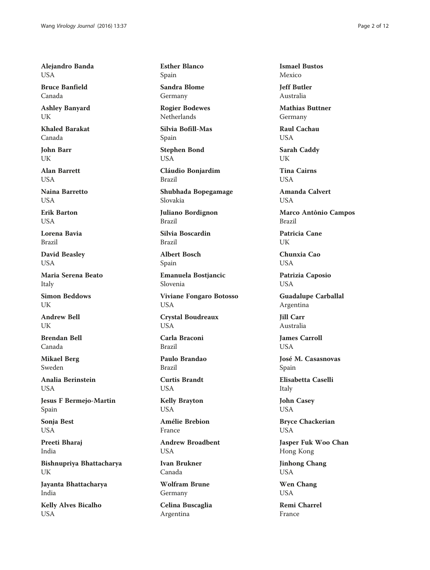Alejandro Banda **USA** 

Bruce Banfield Canada

Ashley Banyard UK

Khaled Barakat Canada

John Barr UK

Alan Barrett USA

Naina Barretto **USA** 

Erik Barton **USA** 

Lorena Bavia Brazil

David Beasley USA

Maria Serena Beato Italy

Simon Beddows UK

Andrew Bell UK

Brendan Bell Canada

Mikael Berg Sweden

Analia Berinstein USA

Jesus F Bermejo-Martin Spain

Sonja Best USA

Preeti Bharaj India

Bishnupriya Bhattacharya UK

Jayanta Bhattacharya India

Kelly Alves Bicalho USA

Esther Blanco Spain

Sandra Blome Germany

Rogier Bodewes Netherlands

Silvia Bofill-Mas Spain

Stephen Bond USA

Cláudio Bonjardim Brazil

Shubhada Bopegamage Slovakia

Juliano Bordignon Brazil

Silvia Boscardin Brazil

Albert Bosch Spain

Emanuela Bostjancic Slovenia

Viviane Fongaro Botosso USA

Crystal Boudreaux USA

Carla Braconi Brazil

Paulo Brandao Brazil

Curtis Brandt USA

Kelly Brayton USA

Amélie Brebion France

Andrew Broadbent USA

Ivan Brukner Canada

Wolfram Brune Germany

Celina Buscaglia Argentina

Ismael Bustos Mexico

Jeff Butler Australia

Mathias Buttner Germany

Raul Cachau USA

Sarah Caddy UK

Tina Cairns **USA** 

Amanda Calvert **USA** 

Marco Antônio Campos Brazil

Patricia Cane UK

Chunxia Cao **USA** 

Patrizia Caposio USA

Guadalupe Carballal Argentina

Jill Carr Australia

James Carroll **USA** 

José M. Casasnovas Spain

Elisabetta Caselli Italy

John Casey USA

Bryce Chackerian USA

Jasper Fuk Woo Chan Hong Kong

Jinhong Chang USA

Wen Chang **USA** 

Remi Charrel France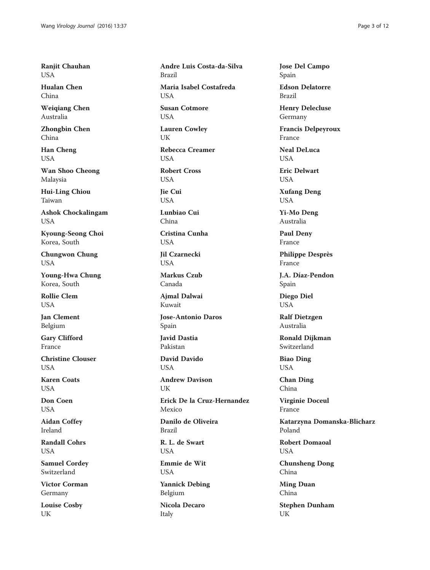Ranjit Chauhan **USA** 

Hualan Chen China

Weiqiang Chen Australia

Zhongbin Chen China

Han Cheng USA

Wan Shoo Cheong Malaysia

Hui-Ling Chiou Taiwan

Ashok Chockalingam USA

Kyoung-Seong Choi Korea, South

Chungwon Chung USA

Young-Hwa Chung Korea, South

Rollie Clem USA

Jan Clement Belgium

Gary Clifford France

Christine Clouser **I** ISA

Karen Coats **USA** 

Don Coen USA

Aidan Coffey Ireland

Randall Cohrs USA

Samuel Cordey Switzerland

Victor Corman Germany

Louise Cosby UK

Andre Luis Costa-da-Silva Brazil Maria Isabel Costafreda **USA** Susan Cotmore USA Lauren Cowley UK Rebecca Creamer **USA** Robert Cross USA Jie Cui **USA** Lunbiao Cui China Cristina Cunha USA Jil Czarnecki **USA** Markus Czub Canada Ajmal Dalwai Kuwait Jose-Antonio Daros Spain Javid Dastia Pakistan David Davido **USA** Andrew Davison UK Erick De la Cruz-Hernandez Mexico Danilo de Oliveira Brazil R. L. de Swart USA Emmie de Wit USA

Yannick Debing Belgium

Nicola Decaro Italy

Jose Del Campo Spain

Edson Delatorre Brazil

Henry Delecluse Germany

Francis Delpeyroux France

Neal DeLuca **USA** 

Eric Delwart USA

Xufang Deng USA

Yi-Mo Deng Australia

Paul Deny France

Philippe Desprès France

J.A. Díaz-Pendon Spain

Diego Diel USA

Ralf Dietzgen Australia

Ronald Dijkman Switzerland

Biao Ding USA

Chan Ding China

Virginie Doceul France

Katarzyna Domanska-Blicharz Poland

Robert Domaoal USA

Chunsheng Dong China

Ming Duan China

Stephen Dunham UK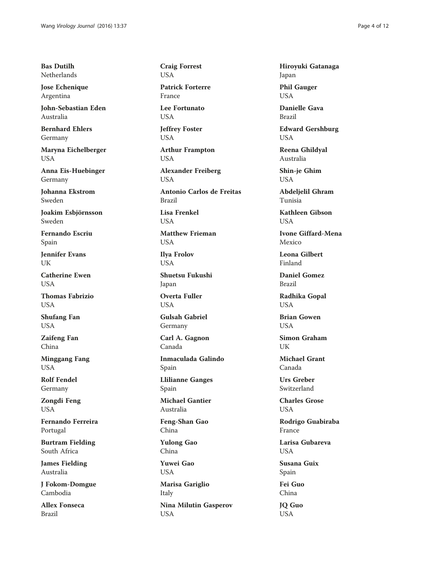Bas Dutilh Netherlands

Jose Echenique Argentina

John-Sebastian Eden Australia

Bernhard Ehlers Germany

Maryna Eichelberger USA

Anna Eis-Huebinger Germany

Johanna Ekstrom Sweden

Joakim Esbjörnsson Sweden

Fernando Escriu Spain

Jennifer Evans UK

Catherine Ewen **USA** 

Thomas Fabrizio USA

Shufang Fan USA

Zaifeng Fan China

Minggang Fang USA

Rolf Fendel Germany

Zongdi Feng USA

Fernando Ferreira Portugal

Burtram Fielding South Africa

James Fielding Australia

J Fokom-Domgue Cambodia

Allex Fonseca Brazil

Craig Forrest USA

Patrick Forterre France

Lee Fortunato USA

Jeffrey Foster USA

Arthur Frampton USA

Alexander Freiberg USA

Antonio Carlos de Freitas Brazil

Lisa Frenkel USA

Matthew Frieman USA

Ilya Frolov **USA** 

Shuetsu Fukushi Japan

Overta Fuller **USA** 

Gulsah Gabriel Germany

Carl A. Gagnon Canada

Inmaculada Galindo Spain Llilianne Ganges

Spain

Michael Gantier Australia

Feng-Shan Gao China

Yulong Gao China

Yuwei Gao USA

Marisa Gariglio Italy Nina Milutin Gasperov USA

Hiroyuki Gatanaga Japan

Phil Gauger USA

Danielle Gava Brazil

Edward Gershburg USA

Reena Ghildyal Australia

Shin-je Ghim USA

Abdeljelil Ghram Tunisia

Kathleen Gibson **USA** 

Ivone Giffard-Mena Mexico

Leona Gilbert Finland

Daniel Gomez Brazil

Radhika Gopal USA

Brian Gowen **USA** 

Simon Graham UK

Michael Grant Canada

Urs Greber Switzerland

Charles Grose USA

Rodrigo Guabiraba France

Larisa Gubareva **USA** 

Susana Guix Spain

Fei Guo China

JQ Guo USA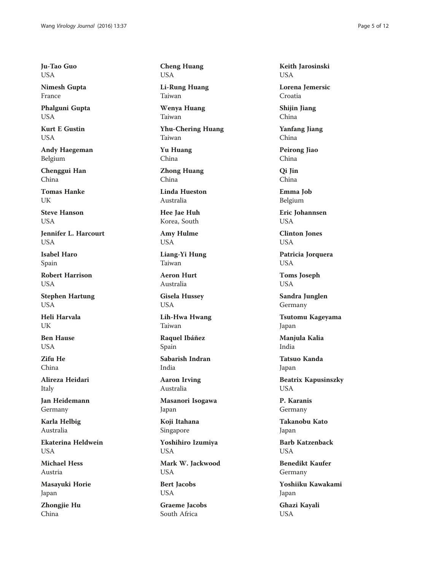Ju-Tao Guo USA

Nimesh Gupta France

Phalguni Gupta USA

Kurt E Gustin **USA** 

Andy Haegeman Belgium

Chenggui Han China

Tomas Hanke UK

Steve Hanson USA

Jennifer L. Harcourt **USA** 

Isabel Haro Spain

Robert Harrison USA

Stephen Hartung USA

Heli Harvala UK

Ben Hause USA

Zifu He China

Alireza Heidari Italy

Jan Heidemann Germany

Karla Helbig Australia

Ekaterina Heldwein USA

Michael Hess Austria

Masayuki Horie Japan

Zhongjie Hu China

Cheng Huang USA

Li-Rung Huang Taiwan

Wenya Huang Taiwan

Yhu-Chering Huang Taiwan

Yu Huang China

Zhong Huang China

Linda Hueston Australia

Hee Jae Huh Korea, South

Amy Hulme USA

Liang-Yi Hung Taiwan

Aeron Hurt Australia

Gisela Hussey USA

Lih-Hwa Hwang Taiwan

Raquel Ibáñez Spain

Sabarish Indran India

Aaron Irving Australia

Masanori Isogawa Japan

Koji Itahana Singapore

Yoshihiro Izumiya USA

Mark W. Jackwood USA

Bert Jacobs USA

Graeme Jacobs South Africa

Keith Jarosinski USA

Lorena Jemersic Croatia

Shijin Jiang China

Yanfang Jiang China

Peirong Jiao China

Qi Jin China

Emma Job Belgium

Eric Johannsen USA

Clinton Jones USA

Patricia Jorquera USA

Toms Joseph USA

Sandra Junglen Germany

Tsutomu Kageyama Japan

Manjula Kalia India

Tatsuo Kanda Japan

Beatrix Kapusinszky USA

P. Karanis Germany

Takanobu Kato Japan

Barb Katzenback **USA** 

Benedikt Kaufer Germany

Yoshiiku Kawakami Japan

Ghazi Kayali USA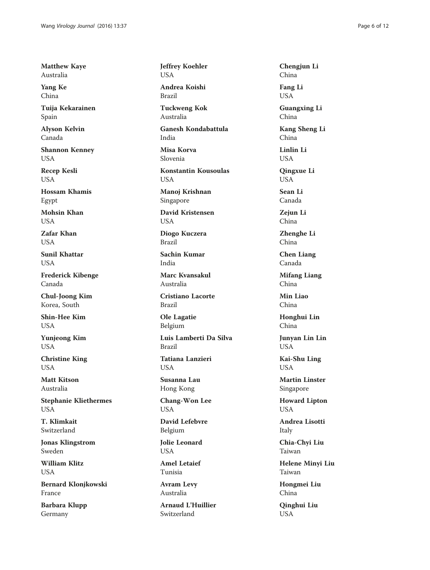Matthew Kaye Australia

Yang Ke China

Tuija Kekarainen Spain

Alyson Kelvin Canada

Shannon Kenney USA

Recep Kesli USA

Hossam Khamis Egypt

Mohsin Khan USA

Zafar Khan **USA** 

Sunil Khattar **USA** 

Frederick Kibenge Canada

Chul-Joong Kim Korea, South

Shin-Hee Kim **USA** 

Yunjeong Kim USA

Christine King USA

Matt Kitson Australia

Stephanie Kliethermes USA

T. Klimkait Switzerland

Jonas Klingstrom Sweden

William Klitz USA

Bernard Klonjkowski France

Barbara Klupp Germany

Jeffrey Koehler USA

Andrea Koishi Brazil

Tuckweng Kok Australia

Ganesh Kondabattula India

Misa Korva Slovenia

Konstantin Kousoulas USA

Manoj Krishnan Singapore

David Kristensen USA

Diogo Kuczera Brazil

Sachin Kumar India

Marc Kvansakul Australia

Cristiano Lacorte Brazil

Ole Lagatie Belgium

Luis Lamberti Da Silva Brazil

Tatiana Lanzieri **USA** 

Susanna Lau Hong Kong

Chang-Won Lee USA

David Lefebvre Belgium

Jolie Leonard USA

Amel Letaief Tunisia

Avram Levy Australia

Arnaud L'Huillier Switzerland

Chengjun Li China Fang Li USA

Guangxing Li China

Kang Sheng Li China

Linlin Li USA

Qingxue Li USA

Sean Li Canada

Zejun Li China

Zhenghe Li China

Chen Liang Canada

Mifang Liang China

Min Liao China

Honghui Lin China

Junyan Lin Lin USA

Kai-Shu Ling USA

Martin Linster Singapore

Howard Lipton **USA** 

Andrea Lisotti Italy

Chia-Chyi Liu Taiwan

Helene Minyi Liu Taiwan

Hongmei Liu China

Qinghui Liu USA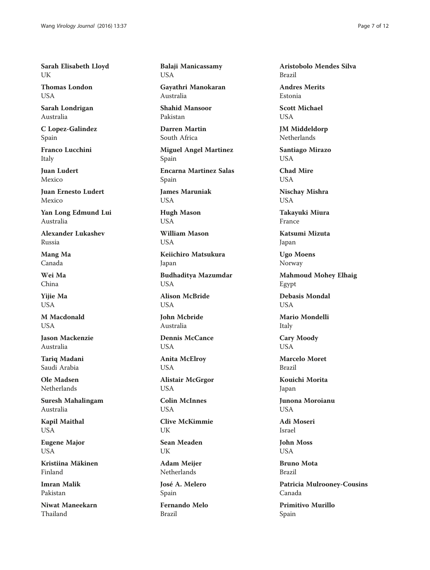Sarah Elisabeth Lloyd UK

Thomas London **USA** 

Sarah Londrigan Australia

C Lopez-Galindez Spain

Franco Lucchini Italy

Juan Ludert Mexico

Juan Ernesto Ludert Mexico

Yan Long Edmund Lui Australia

Alexander Lukashev Russia

Mang Ma Canada

Wei Ma China

Yijie Ma **USA** 

M Macdonald **USA** 

Jason Mackenzie Australia

Tariq Madani Saudi Arabia

Ole Madsen Netherlands

Suresh Mahalingam Australia

Kapil Maithal USA

Eugene Major USA

Kristiina Mäkinen Finland

Imran Malik Pakistan

Niwat Maneekarn Thailand

Balaji Manicassamy USA

Gayathri Manokaran Australia

Shahid Mansoor Pakistan

Darren Martin South Africa

Miguel Angel Martinez Spain

Encarna Martinez Salas Spain

James Maruniak **USA** 

Hugh Mason USA

William Mason **USA** 

Keiichiro Matsukura Japan

Budhaditya Mazumdar **USA** 

Alison McBride USA

John Mcbride Australia

Dennis McCance USA

Anita McElroy USA

Alistair McGrgor USA

Colin McInnes **USA** 

Clive McKimmie UK

Sean Meaden UK

Adam Meijer Netherlands

José A. Melero Spain

Fernando Melo Brazil

Aristobolo Mendes Silva Brazil

Andres Merits Estonia

Scott Michael USA

JM Middeldorp Netherlands

Santiago Mirazo USA

Chad Mire USA

Nischay Mishra USA

Takayuki Miura France

Katsumi Mizuta Japan

Ugo Moens Norway

Mahmoud Mohey Elhaig Egypt

Debasis Mondal **USA** 

Mario Mondelli Italy

Cary Moody **USA** 

Marcelo Moret Brazil

Kouichi Morita Japan

Junona Moroianu **USA** 

Adi Moseri Israel

John Moss USA

Bruno Mota Brazil

Patricia Mulrooney-Cousins Canada

Primitivo Murillo Spain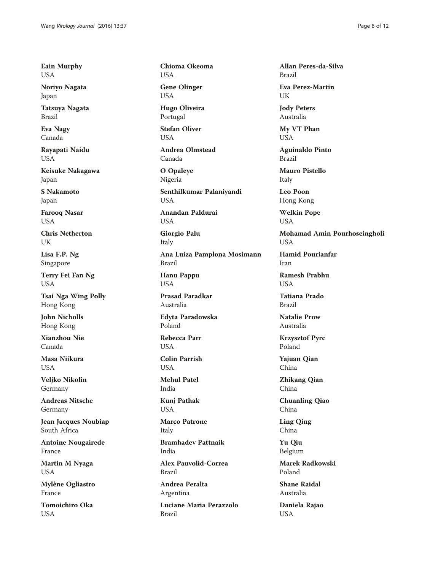Eain Murphy USA

Noriyo Nagata Japan

Tatsuya Nagata Brazil

Eva Nagy Canada

Rayapati Naidu USA

Keisuke Nakagawa Japan

S Nakamoto Japan

Farooq Nasar USA

Chris Netherton UK

Lisa F.P. Ng Singapore

Terry Fei Fan Ng USA

Tsai Nga Wing Polly Hong Kong

John Nicholls Hong Kong

Xianzhou Nie Canada

Masa Niikura **I** ISA

Veljko Nikolin Germany

Andreas Nitsche Germany

Jean Jacques Noubiap South Africa

Antoine Nougairede France

Martin M Nyaga USA

Mylène Ogliastro France

Tomoichiro Oka USA

Chioma Okeoma USA

Gene Olinger USA

Hugo Oliveira Portugal

Stefan Oliver USA

Andrea Olmstead Canada

O Opaleye Nigeria

Senthilkumar Palaniyandi USA

Anandan Paldurai USA

Giorgio Palu Italy

Ana Luiza Pamplona Mosimann Brazil

Hanu Pappu **USA** 

Prasad Paradkar Australia

Edyta Paradowska Poland

Rebecca Parr **USA** 

Colin Parrish **USA** 

Mehul Patel India

Kunj Pathak USA

Marco Patrone Italy

Bramhadev Pattnaik India

Alex Pauvolid-Correa Brazil

Andrea Peralta Argentina

Luciane Maria Perazzolo Brazil

Allan Peres-da-Silva Brazil

Eva Perez-Martin UK

Jody Peters Australia

My VT Phan USA

Aguinaldo Pinto Brazil

Mauro Pistello Italy

Leo Poon Hong Kong

Welkin Pope USA

Mohamad Amin Pourhoseingholi USA

Hamid Pourianfar Iran

Ramesh Prabhu **USA** 

Tatiana Prado Brazil

Natalie Prow Australia

Krzysztof Pyrc Poland

Yajuan Qian China

Zhikang Qian China

Chuanling Qiao China

Ling Qing China

Yu Qiu Belgium

Marek Radkowski Poland

Shane Raidal Australia

Daniela Rajao USA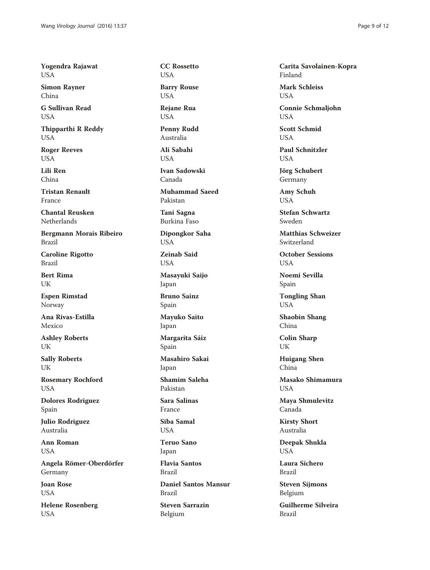Yogendra Rajawat USA

Simon Rayner China

G Sullivan Read **USA** 

Thipparthi R Reddy USA

Roger Reeves USA

Lili Ren China

Tristan Renault France

Chantal Reusken Netherlands

Bergmann Morais Ribeiro Brazil

Caroline Rigotto Brazil

Bert Rima UK

Espen Rimstad Norway

Ana Rivas-Estilla Mexico

Ashley Roberts UK

Sally Roberts UK

Rosemary Rochford USA

Dolores Rodriguez Spain

Julio Rodriguez Australia

Ann Roman USA

Angela Römer-Oberdörfer Germany

Joan Rose **USA** 

Helene Rosenberg USA

CC Rossetto USA

Barry Rouse USA

Rejane Rua USA

Penny Rudd Australia

Ali Sabahi **USA** 

Ivan Sadowski Canada

Muhammad Saeed Pakistan

Tani Sagna Burkina Faso

Dipongkor Saha USA

Zeinab Said USA

Masayuki Saijo Japan

Bruno Sainz Spain

Mayuko Saito Japan

Margarita Sáiz Spain

Masahiro Sakai Japan

Shamim Saleha Pakistan

Sara Salinas France

Siba Samal **USA** 

Teruo Sano Japan

Flavia Santos Brazil

Daniel Santos Mansur Brazil

Steven Sarrazin Belgium

Carita Savolainen-Kopra Finland

Mark Schleiss **USA** 

Connie Schmaljohn USA

Scott Schmid **USA** 

Paul Schnitzler **USA** 

Jörg Schubert Germany

Amy Schuh **USA** 

Stefan Schwartz Sweden

Matthias Schweizer Switzerland

October Sessions **USA** 

Noemi Sevilla Spain

Tongling Shan USA

Shaobin Shang China

Colin Sharp UK

Huigang Shen China

Masako Shimamura **USA** 

Maya Shmulevitz Canada

Kirsty Short Australia

Deepak Shukla USA

Laura Sichero Brazil

Steven Sijmons Belgium

Guilherme Silveira Brazil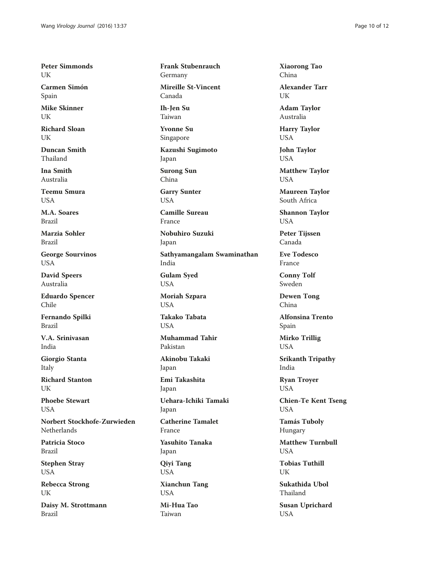Peter Simmonds UK

Carmen Simón Spain

Mike Skinner UK

Richard Sloan UK

Duncan Smith Thailand

Ina Smith Australia

Teemu Smura **USA** 

M.A. Soares Brazil

Marzia Sohler Brazil

George Sourvinos USA

David Speers Australia

Eduardo Spencer Chile

Fernando Spilki Brazil

V.A. Srinivasan India

Giorgio Stanta Italy

Richard Stanton UK

Phoebe Stewart **USA** 

Norbert Stockhofe-Zurwieden Netherlands

Patricia Stoco Brazil

Stephen Stray USA

Rebecca Strong UK

Daisy M. Strottmann Brazil

Frank Stubenrauch Germany Mireille St-Vincent

Canada

Ih-Jen Su Taiwan

Yvonne Su Singapore

Kazushi Sugimoto Japan

Surong Sun China

Garry Sunter USA

Camille Sureau France

Nobuhiro Suzuki Japan

Sathyamangalam Swaminathan India

Gulam Syed USA

Moriah Szpara USA

Takako Tabata **USA** 

Muhammad Tahir Pakistan

Akinobu Takaki Japan

Emi Takashita Japan

Uehara-Ichiki Tamaki Japan

Catherine Tamalet France

Yasuhito Tanaka Japan

Qiyi Tang USA

Xianchun Tang **USA** 

Mi-Hua Tao Taiwan

Xiaorong Tao China

Alexander Tarr UK

Adam Taylor Australia

Harry Taylor USA

John Taylor USA

Matthew Taylor USA

Maureen Taylor South Africa

Shannon Taylor USA

Peter Tijssen Canada

Eve Todesco France

Conny Tolf Sweden

Dewen Tong China

Alfonsina Trento Spain

Mirko Trillig USA

Srikanth Tripathy India

Ryan Troyer USA

Chien-Te Kent Tseng USA

Tamás Tuboly Hungary

Matthew Turnbull USA

Tobias Tuthill UK

Sukathida Ubol Thailand

Susan Uprichard USA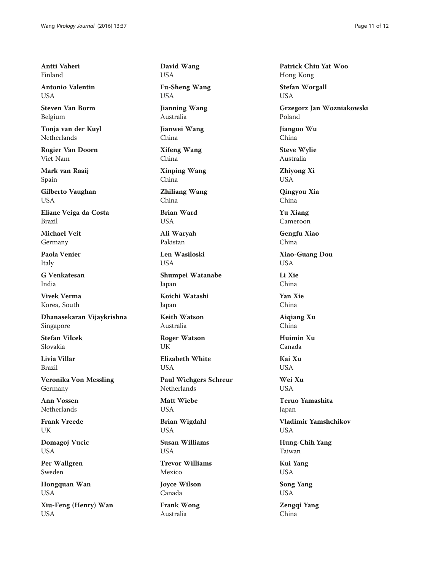Antti Vaheri Finland

Antonio Valentin **USA** 

Steven Van Borm Belgium

Tonja van der Kuyl Netherlands

Rogier Van Doorn Viet Nam

Mark van Raaij Spain

Gilberto Vaughan USA

Eliane Veiga da Costa Brazil

Michael Veit Germany

Paola Venier Italy

G Venkatesan India

Vivek Verma Korea, South

Dhanasekaran Vijaykrishna Singapore

Stefan Vilcek Slovakia

Livia Villar Brazil

Veronika Von Messling Germany

Ann Vossen Netherlands

Frank Vreede UK

Domagoj Vucic USA

Per Wallgren Sweden

Hongquan Wan USA

Xiu-Feng (Henry) Wan USA

David Wang USA

Fu-Sheng Wang USA

Jianning Wang Australia

Jianwei Wang China

Xifeng Wang China

Xinping Wang China

Zhiliang Wang China

Brian Ward USA

Ali Waryah Pakistan

Len Wasiloski **USA** 

Shumpei Watanabe Japan

Koichi Watashi Japan

Keith Watson Australia

Roger Watson UK

Elizabeth White **USA** 

Paul Wichgers Schreur Netherlands

Matt Wiebe USA

Brian Wigdahl USA

Susan Williams USA

Trevor Williams Mexico

Joyce Wilson Canada

Frank Wong Australia

Patrick Chiu Yat Woo Hong Kong

Stefan Worgall USA

Grzegorz Jan Wozniakowski Poland

Jianguo Wu China

Steve Wylie Australia

Zhiyong Xi USA

Qingyou Xia China

Yu Xiang Cameroon

Gengfu Xiao China

Xiao-Guang Dou USA

Li Xie China

Yan Xie China

Aiqiang Xu China

Huimin Xu Canada

Kai Xu **USA** 

Wei Xu **USA** 

Teruo Yamashita Japan

Vladimir Yamshchikov **USA** 

Hung-Chih Yang Taiwan

Kui Yang USA

Song Yang USA

Zengqi Yang China